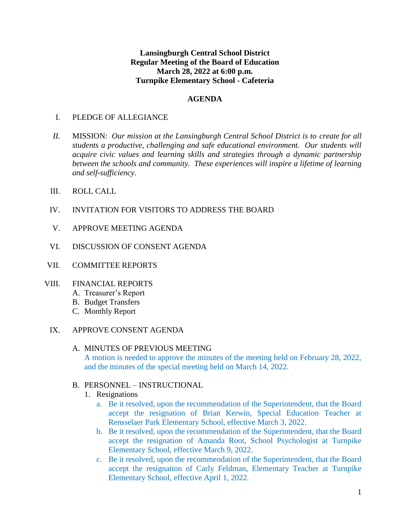### **Lansingburgh Central School District Regular Meeting of the Board of Education March 28, 2022 at 6:00 p.m. Turnpike Elementary School - Cafeteria**

### **AGENDA**

#### I. PLEDGE OF ALLEGIANCE

- *II.* MISSION: *Our mission at the Lansingburgh Central School District is to create for all students a productive, challenging and safe educational environment. Our students will acquire civic values and learning skills and strategies through a dynamic partnership between the schools and community. These experiences will inspire a lifetime of learning and self-sufficiency.*
- III. ROLL CALL
- IV. INVITATION FOR VISITORS TO ADDRESS THE BOARD
- V. APPROVE MEETING AGENDA
- VI. DISCUSSION OF CONSENT AGENDA
- VII. COMMITTEE REPORTS

#### VIII. FINANCIAL REPORTS

- A. Treasurer's Report
- B. Budget Transfers
- C. Monthly Report
- IX. APPROVE CONSENT AGENDA

#### A. MINUTES OF PREVIOUS MEETING

A motion is needed to approve the minutes of the meeting held on February 28, 2022, and the minutes of the special meeting held on March 14, 2022.

#### B. PERSONNEL – INSTRUCTIONAL

- 1. Resignations
	- a. Be it resolved, upon the recommendation of the Superintendent, that the Board accept the resignation of Brian Kerwin, Special Education Teacher at Rensselaer Park Elementary School, effective March 3, 2022.
	- b. Be it resolved, upon the recommendation of the Superintendent, that the Board accept the resignation of Amanda Root, School Psychologist at Turnpike Elementary School, effective March 9, 2022.
	- c. Be it resolved, upon the recommendation of the Superintendent, that the Board accept the resignation of Carly Feldman, Elementary Teacher at Turnpike Elementary School, effective April 1, 2022.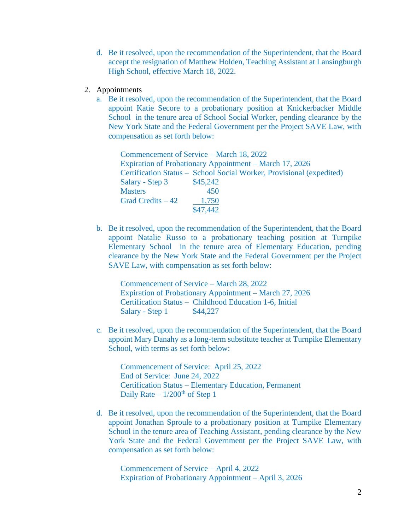- d. Be it resolved, upon the recommendation of the Superintendent, that the Board accept the resignation of Matthew Holden, Teaching Assistant at Lansingburgh High School, effective March 18, 2022.
- 2. Appointments
	- a. Be it resolved, upon the recommendation of the Superintendent, that the Board appoint Katie Secore to a probationary position at Knickerbacker Middle School in the tenure area of School Social Worker, pending clearance by the New York State and the Federal Government per the Project SAVE Law, with compensation as set forth below:

| Commencement of Service – March 18, 2022 |                                                                      |
|------------------------------------------|----------------------------------------------------------------------|
|                                          | <b>Expiration of Probationary Appointment – March 17, 2026</b>       |
|                                          | Certification Status – School Social Worker, Provisional (expedited) |
| \$45,242                                 |                                                                      |
| 450                                      |                                                                      |
| 1,750                                    |                                                                      |
| \$47,442                                 |                                                                      |
|                                          |                                                                      |

b. Be it resolved, upon the recommendation of the Superintendent, that the Board appoint Natalie Russo to a probationary teaching position at Turnpike Elementary School in the tenure area of Elementary Education, pending clearance by the New York State and the Federal Government per the Project SAVE Law, with compensation as set forth below:

Commencement of Service – March 28, 2022 Expiration of Probationary Appointment – March 27, 2026 Certification Status – Childhood Education 1-6, Initial Salary - Step 1 \$44,227

c. Be it resolved, upon the recommendation of the Superintendent, that the Board appoint Mary Danahy as a long-term substitute teacher at Turnpike Elementary School, with terms as set forth below:

Commencement of Service: April 25, 2022 End of Service: June 24, 2022 Certification Status – Elementary Education, Permanent Daily Rate  $-1/200<sup>th</sup>$  of Step 1

d. Be it resolved, upon the recommendation of the Superintendent, that the Board appoint Jonathan Sproule to a probationary position at Turnpike Elementary School in the tenure area of Teaching Assistant, pending clearance by the New York State and the Federal Government per the Project SAVE Law, with compensation as set forth below:

Commencement of Service – April 4, 2022 Expiration of Probationary Appointment – April 3, 2026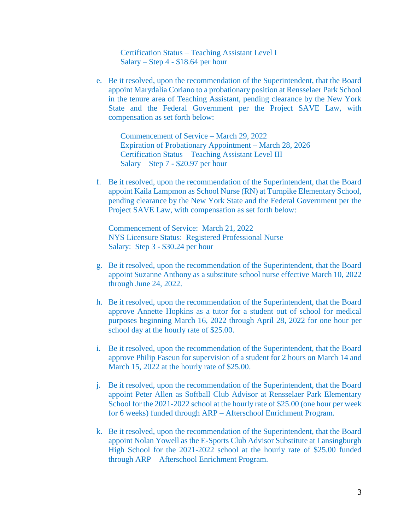Certification Status – Teaching Assistant Level I Salary – Step 4 - \$18.64 per hour

e. Be it resolved, upon the recommendation of the Superintendent, that the Board appoint Marydalia Coriano to a probationary position at Rensselaer Park School in the tenure area of Teaching Assistant, pending clearance by the New York State and the Federal Government per the Project SAVE Law, with compensation as set forth below:

Commencement of Service – March 29, 2022 Expiration of Probationary Appointment – March 28, 2026 Certification Status – Teaching Assistant Level III Salary – Step 7 - \$20.97 per hour

f. Be it resolved, upon the recommendation of the Superintendent, that the Board appoint Kaila Lampmon as School Nurse (RN) at Turnpike Elementary School, pending clearance by the New York State and the Federal Government per the Project SAVE Law, with compensation as set forth below:

Commencement of Service: March 21, 2022 NYS Licensure Status: Registered Professional Nurse Salary: Step 3 - \$30.24 per hour

- g. Be it resolved, upon the recommendation of the Superintendent, that the Board appoint Suzanne Anthony as a substitute school nurse effective March 10, 2022 through June 24, 2022.
- h. Be it resolved, upon the recommendation of the Superintendent, that the Board approve Annette Hopkins as a tutor for a student out of school for medical purposes beginning March 16, 2022 through April 28, 2022 for one hour per school day at the hourly rate of \$25.00.
- i. Be it resolved, upon the recommendation of the Superintendent, that the Board approve Philip Faseun for supervision of a student for 2 hours on March 14 and March 15, 2022 at the hourly rate of \$25.00.
- j. Be it resolved, upon the recommendation of the Superintendent, that the Board appoint Peter Allen as Softball Club Advisor at Rensselaer Park Elementary School for the 2021-2022 school at the hourly rate of \$25.00 (one hour per week for 6 weeks) funded through ARP – Afterschool Enrichment Program.
- k. Be it resolved, upon the recommendation of the Superintendent, that the Board appoint Nolan Yowell as the E-Sports Club Advisor Substitute at Lansingburgh High School for the 2021-2022 school at the hourly rate of \$25.00 funded through ARP – Afterschool Enrichment Program.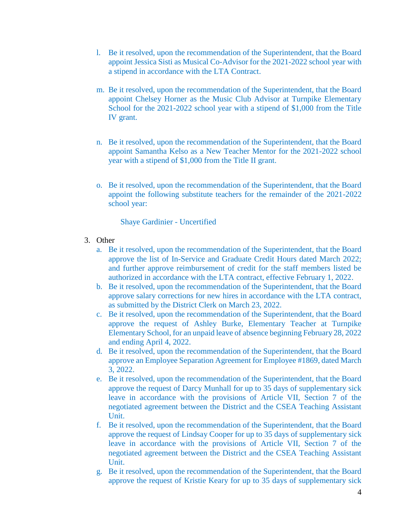- l. Be it resolved, upon the recommendation of the Superintendent, that the Board appoint Jessica Sisti as Musical Co-Advisor for the 2021-2022 school year with a stipend in accordance with the LTA Contract.
- m. Be it resolved, upon the recommendation of the Superintendent, that the Board appoint Chelsey Horner as the Music Club Advisor at Turnpike Elementary School for the 2021-2022 school year with a stipend of \$1,000 from the Title IV grant.
- n. Be it resolved, upon the recommendation of the Superintendent, that the Board appoint Samantha Kelso as a New Teacher Mentor for the 2021-2022 school year with a stipend of \$1,000 from the Title II grant.
- o. Be it resolved, upon the recommendation of the Superintendent, that the Board appoint the following substitute teachers for the remainder of the 2021-2022 school year:

Shaye Gardinier - Uncertified

- 3. Other
	- a. Be it resolved, upon the recommendation of the Superintendent, that the Board approve the list of In-Service and Graduate Credit Hours dated March 2022; and further approve reimbursement of credit for the staff members listed be authorized in accordance with the LTA contract, effective February 1, 2022.
	- b. Be it resolved, upon the recommendation of the Superintendent, that the Board approve salary corrections for new hires in accordance with the LTA contract, as submitted by the District Clerk on March 23, 2022.
	- c. Be it resolved, upon the recommendation of the Superintendent, that the Board approve the request of Ashley Burke, Elementary Teacher at Turnpike Elementary School, for an unpaid leave of absence beginning February 28, 2022 and ending April 4, 2022.
	- d. Be it resolved, upon the recommendation of the Superintendent, that the Board approve an Employee Separation Agreement for Employee #1869, dated March 3, 2022.
	- e. Be it resolved, upon the recommendation of the Superintendent, that the Board approve the request of Darcy Munhall for up to 35 days of supplementary sick leave in accordance with the provisions of Article VII, Section 7 of the negotiated agreement between the District and the CSEA Teaching Assistant Unit.
	- f. Be it resolved, upon the recommendation of the Superintendent, that the Board approve the request of Lindsay Cooper for up to 35 days of supplementary sick leave in accordance with the provisions of Article VII, Section 7 of the negotiated agreement between the District and the CSEA Teaching Assistant Unit.
	- g. Be it resolved, upon the recommendation of the Superintendent, that the Board approve the request of Kristie Keary for up to 35 days of supplementary sick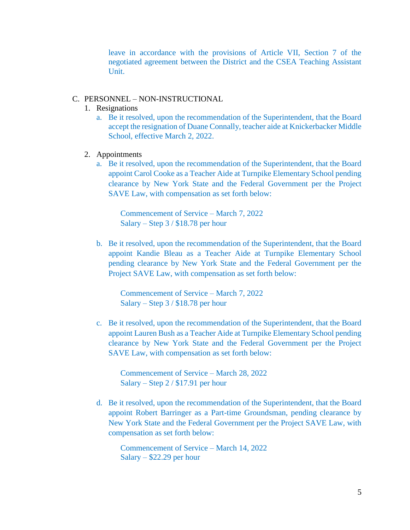leave in accordance with the provisions of Article VII, Section 7 of the negotiated agreement between the District and the CSEA Teaching Assistant Unit.

#### C. PERSONNEL – NON-INSTRUCTIONAL

- 1. Resignations
	- a. Be it resolved, upon the recommendation of the Superintendent, that the Board accept the resignation of Duane Connally, teacher aide at Knickerbacker Middle School, effective March 2, 2022.
- 2. Appointments
	- a. Be it resolved, upon the recommendation of the Superintendent, that the Board appoint Carol Cooke as a Teacher Aide at Turnpike Elementary School pending clearance by New York State and the Federal Government per the Project SAVE Law, with compensation as set forth below:

Commencement of Service – March 7, 2022 Salary – Step 3 / \$18.78 per hour

b. Be it resolved, upon the recommendation of the Superintendent, that the Board appoint Kandie Bleau as a Teacher Aide at Turnpike Elementary School pending clearance by New York State and the Federal Government per the Project SAVE Law, with compensation as set forth below:

Commencement of Service – March 7, 2022 Salary – Step 3 / \$18.78 per hour

c. Be it resolved, upon the recommendation of the Superintendent, that the Board appoint Lauren Bush as a Teacher Aide at Turnpike Elementary School pending clearance by New York State and the Federal Government per the Project SAVE Law, with compensation as set forth below:

Commencement of Service – March 28, 2022 Salary – Step 2 / \$17.91 per hour

d. Be it resolved, upon the recommendation of the Superintendent, that the Board appoint Robert Barringer as a Part-time Groundsman, pending clearance by New York State and the Federal Government per the Project SAVE Law, with compensation as set forth below:

Commencement of Service – March 14, 2022 Salary – \$22.29 per hour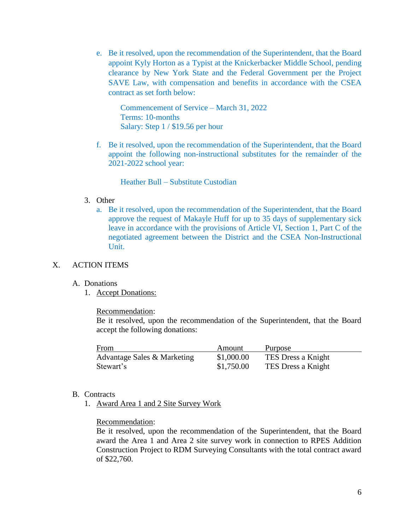e. Be it resolved, upon the recommendation of the Superintendent, that the Board appoint Kyly Horton as a Typist at the Knickerbacker Middle School, pending clearance by New York State and the Federal Government per the Project SAVE Law, with compensation and benefits in accordance with the CSEA contract as set forth below:

Commencement of Service – March 31, 2022 Terms: 10-months Salary: Step 1 / \$19.56 per hour

f. Be it resolved, upon the recommendation of the Superintendent, that the Board appoint the following non-instructional substitutes for the remainder of the 2021-2022 school year:

Heather Bull – Substitute Custodian

#### 3. Other

a. Be it resolved, upon the recommendation of the Superintendent, that the Board approve the request of Makayle Huff for up to 35 days of supplementary sick leave in accordance with the provisions of Article VI, Section 1, Part C of the negotiated agreement between the District and the CSEA Non-Instructional Unit.

### X. ACTION ITEMS

#### A. Donations

1. Accept Donations:

#### Recommendation:

Be it resolved, upon the recommendation of the Superintendent, that the Board accept the following donations:

| From                        | Amount     | Purpose            |
|-----------------------------|------------|--------------------|
| Advantage Sales & Marketing | \$1,000.00 | TES Dress a Knight |
| Stewart's                   | \$1,750.00 | TES Dress a Knight |

#### B. Contracts

1. Award Area 1 and 2 Site Survey Work

#### Recommendation:

Be it resolved, upon the recommendation of the Superintendent, that the Board award the Area 1 and Area 2 site survey work in connection to RPES Addition Construction Project to RDM Surveying Consultants with the total contract award of \$22,760.